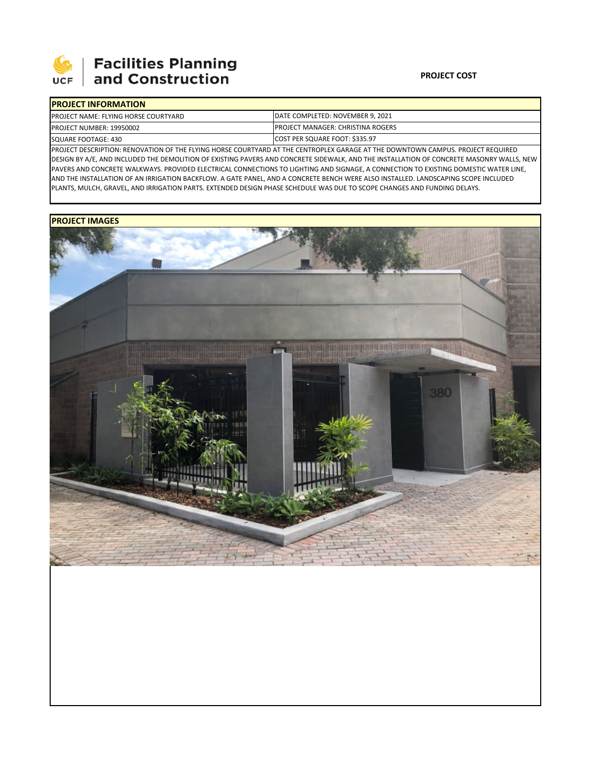

## **Facilities Planning<br>and Construction**

## **PROJECT COST**

| <b>IPROJECT INFORMATION</b>                 |                                           |  |  |  |
|---------------------------------------------|-------------------------------------------|--|--|--|
| <b>PROJECT NAME: FLYING HORSE COURTYARD</b> | DATE COMPLETED: NOVEMBER 9, 2021          |  |  |  |
| PROJECT NUMBER: 19950002                    | <b>IPROJECT MANAGER: CHRISTINA ROGERS</b> |  |  |  |
| SQUARE FOOTAGE: 430                         | COST PER SQUARE FOOT: \$335.97            |  |  |  |

PROJECT DESCRIPTION: RENOVATION OF THE FLYING HORSE COURTYARD AT THE CENTROPLEX GARAGE AT THE DOWNTOWN CAMPUS. PROJECT REQUIRED DESIGN BY A/E, AND INCLUDED THE DEMOLITION OF EXISTING PAVERS AND CONCRETE SIDEWALK, AND THE INSTALLATION OF CONCRETE MASONRY WALLS, NEW PAVERS AND CONCRETE WALKWAYS. PROVIDED ELECTRICAL CONNECTIONS TO LIGHTING AND SIGNAGE, A CONNECTION TO EXISTING DOMESTIC WATER LINE, AND THE INSTALLATION OF AN IRRIGATION BACKFLOW. A GATE PANEL, AND A CONCRETE BENCH WERE ALSO INSTALLED. LANDSCAPING SCOPE INCLUDED PLANTS, MULCH, GRAVEL, AND IRRIGATION PARTS. EXTENDED DESIGN PHASE SCHEDULE WAS DUE TO SCOPE CHANGES AND FUNDING DELAYS.